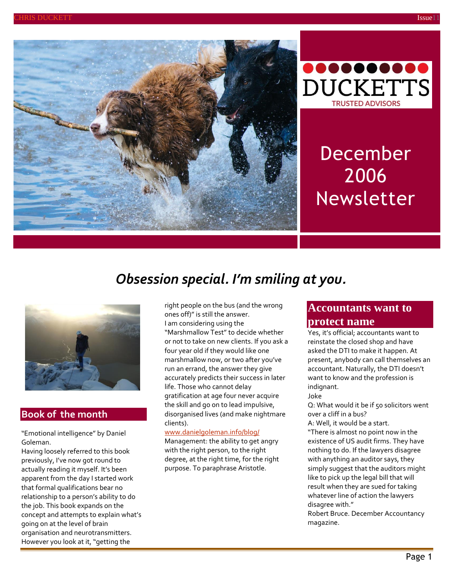



# December 2006 Newsletter

# *Obsession special. I'm smiling at you.*



#### **Book of the month**

"Emotional intelligence" by Daniel Goleman.

Having loosely referred to this book previously, I've now got round to actually reading it myself. It's been apparent from the day I started work that formal qualifications bear no relationship to a person's ability to do the job. This book expands on the concept and attempts to explain what's going on at the level of brain organisation and neurotransmitters. However you look at it, "getting the

right people on the bus (and the wrong ones off)" is still the answer. I am considering using the "Marshmallow Test" to decide whether or not to take on new clients. If you ask a four year old if they would like one marshmallow now, or two after you've run an errand, the answer they give accurately predicts their success in later life. Those who cannot delay gratification at age four never acquire the skill and go on to lead impulsive, disorganised lives (and make nightmare clients).

#### [www.danielgoleman.info/blog/](http://www.danielgoleman.info/blog/)

Management: the ability to get angry with the right person, to the right degree, at the right time, for the right purpose. To paraphrase Aristotle.

# **Accountants want to protect name**

Yes, it's official; accountants want to reinstate the closed shop and have asked the DTI to make it happen. At present, anybody can call themselves an accountant. Naturally, the DTI doesn't want to know and the profession is indignant.

#### Joke

Q: What would it be if 50 solicitors went over a cliff in a bus?

A: Well, it would be a start.

"There is almost no point now in the existence of US audit firms. They have nothing to do. If the lawyers disagree with anything an auditor says, they simply suggest that the auditors might like to pick up the legal bill that will result when they are sued for taking whatever line of action the lawyers disagree with."

Robert Bruce. December Accountancy magazine.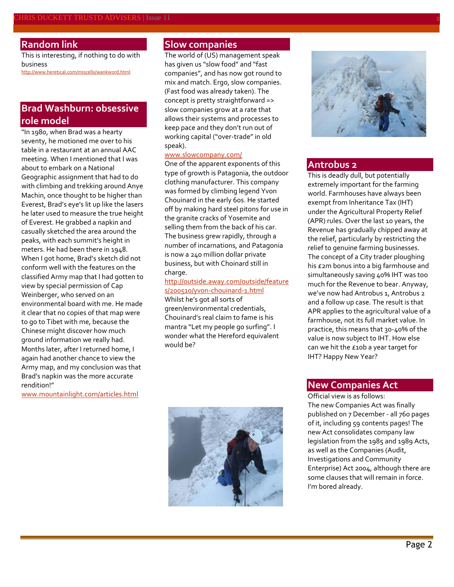# **Random link**

This is interesting, if nothing to do with business

<http://www.heretical.com/miscellx/wankword.html>

# **Brad Washburn: obsessive role model**

"In 1980, when Brad was a hearty seventy, he motioned me over to his table in a restaurant at an annual AAC meeting. When I mentioned that I was about to embark on a National Geographic assignment that had to do with climbing and trekking around Anye Machin, once thought to be higher than Everest, Brad's eye's lit up like the lasers he later used to measure the true height of Everest. He grabbed a napkin and casually sketched the area around the peaks, with each summit's height in meters. He had been there in 1948. When I got home, Brad's sketch did not conform well with the features on the classified Army map that I had gotten to view by special permission of Cap Weinberger, who served on an environmental board with me. He made it clear that no copies of that map were to go to Tibet with me, because the Chinese might discover how much ground information we really had. Months later, after I returned home, I again had another chance to view the Army map, and my conclusion was that Brad's napkin was the more accurate rendition!"

[www.mountainlight.com/articles.html](http://www.mountainlight.com/articles.html)

#### **Slow companies**

The world of (US) management speak has given us "slow food" and "fast companies", and has now got round to mix and match. Ergo, slow companies. (Fast food was already taken). The concept is pretty straightforward => slow companies grow at a rate that allows their systems and processes to keep pace and they don't run out of working capital ("over-trade" in old speak).

#### [www.slowcompany.com/](http://www.slowcompany.com/)

One of the apparent exponents of this type of growth is Patagonia, the outdoor clothing manufacturer. This company was formed by climbing legend Yvon Chouinard in the early 60s. He started off by making hard steel pitons for use in the granite cracks of Yosemite and selling them from the back of his car. The business grew rapidly, through a number of incarnations, and Patagonia is now a 240 million dollar private business, but with Choinard still in charge.

#### [http://outside.away.com/outside/feature](http://outside.away.com/outside/features/200510/yvon-chouinard-1.html) [s/200510/yvon-chouinard-1.html](http://outside.away.com/outside/features/200510/yvon-chouinard-1.html)

Whilst he's got all sorts of green/environmental credentials, Chouinard's real claim to fame is his mantra "Let my people go surfing". I wonder what the Hereford equivalent would be?





#### **Antrobus 2**

This is deadly dull, but potentially extremely important for the farming world. Farmhouses have always been exempt from Inheritance Tax (IHT) under the Agricultural Property Relief (APR) rules. Over the last 10 years, the Revenue has gradually chipped away at the relief, particularly by restricting the relief to genuine farming businesses. The concept of a City trader ploughing his £2m bonus into a big farmhouse and simultaneously saving 40% IHT was too much for the Revenue to bear. Anyway, we've now had Antrobus 1, Antrobus 2 and a follow up case. The result is that APR applies to the agricultural value of a farmhouse, not its full market value. In practice, this means that 30-40% of the value is now subject to IHT. How else can we hit the £10b a year target for IHT? Happy New Year?

### **New Companies Act**

Official view is as follows: The new Companies Act was finally published on 7 December - all 760 pages of it, including 59 contents pages! The new Act consolidates company law legislation from the 1985 and 1989 Acts, as well as the Companies (Audit, Investigations and Community Enterprise) Act 2004, although there are some clauses that will remain in force. I'm bored already.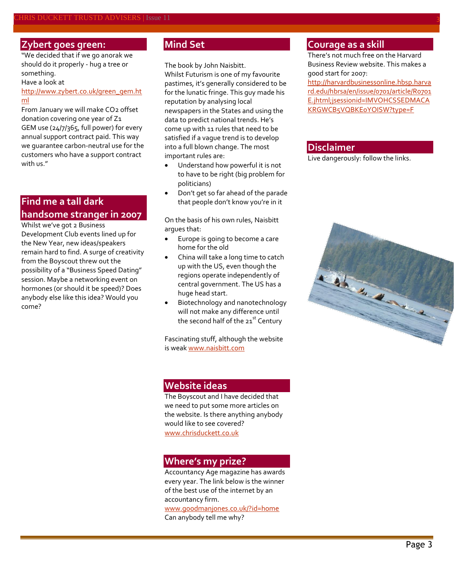#### **Zybert goes green:**

"We decided that if we go anorak we should do it properly - hug a tree or something.

Have a look at

[http://www.zybert.co.uk/green\\_gem.ht](http://www.zybert.co.uk/green_gem.html) [ml](http://www.zybert.co.uk/green_gem.html)

From January we will make CO2 offset donation covering one year of Z1 GEM use (24/7/365, full power) for every annual support contract paid. This way we guarantee carbon-neutral use for the customers who have a support contract with us."

# **Find me a tall dark handsome stranger in 2007**

Whilst we've got 2 Business Development Club events lined up for the New Year, new ideas/speakers remain hard to find. A surge of creativity from the Boyscout threw out the possibility of a "Business Speed Dating" session. Maybe a networking event on hormones (or should it be speed)? Does anybody else like this idea? Would you come?

# **Mind Set**

The book by John Naisbitt.

Whilst Futurism is one of my favourite pastimes, it's generally considered to be for the lunatic fringe. This guy made his reputation by analysing local newspapers in the States and using the data to predict national trends. He's come up with 11 rules that need to be satisfied if a vague trend is to develop into a full blown change. The most important rules are:

- Understand how powerful it is not to have to be right (big problem for politicians)
- Don't get so far ahead of the parade that people don't know you're in it

On the basis of his own rules, Naisbitt argues that:

- Europe is going to become a care home for the old
- China will take a long time to catch up with the US, even though the regions operate independently of central government. The US has a huge head start.
- Biotechnology and nanotechnology will not make any difference until the second half of the  $21^{st}$  Century

Fascinating stuff, although the website is wea[k www.naisbitt.com](http://www.naisbitt.com/)

# **Website ideas**

The Boyscout and I have decided that we need to put some more articles on the website. Is there anything anybody would like to see covered? [www.chrisduckett.co.uk](http://www.chrisduckett.co.uk/)

#### **Where's my prize?**

Accountancy Age magazine has awards every year. The link below is the winner of the best use of the internet by an accountancy firm.

[www.goodmanjones.co.uk/?id=home](http://www.goodmanjones.co.uk/?id=home) Can anybody tell me why?

### **Courage as a skill**

There's not much free on the Harvard Business Review website. This makes a good start for 2007:

[http://harvardbusinessonline.hbsp.harva](http://harvardbusinessonline.hbsp.harvard.edu/hbrsa/en/issue/0701/article/R0701E.jhtml;jsessionid=IMVOHCSSEDMACAKRGWCB5VQBKE0YOISW?type=F) [rd.edu/hbrsa/en/issue/0701/article/R0701](http://harvardbusinessonline.hbsp.harvard.edu/hbrsa/en/issue/0701/article/R0701E.jhtml;jsessionid=IMVOHCSSEDMACAKRGWCB5VQBKE0YOISW?type=F) [E.jhtml;jsessionid=IMVOHCSSEDMACA](http://harvardbusinessonline.hbsp.harvard.edu/hbrsa/en/issue/0701/article/R0701E.jhtml;jsessionid=IMVOHCSSEDMACAKRGWCB5VQBKE0YOISW?type=F) [KRGWCB5VQBKE0YOISW?type=F](http://harvardbusinessonline.hbsp.harvard.edu/hbrsa/en/issue/0701/article/R0701E.jhtml;jsessionid=IMVOHCSSEDMACAKRGWCB5VQBKE0YOISW?type=F)

#### **Disclaimer**

Live dangerously: follow the links.